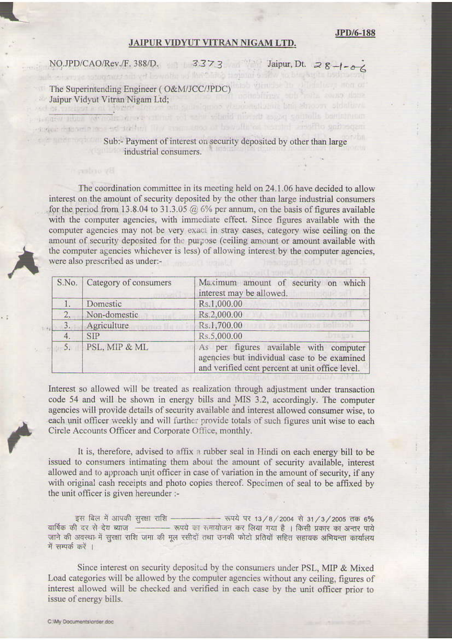## **JPD/6-188**

## JAIPUR VIDYUT VITRAN NIGAM LTD.

single material and set and million completed of beyofficial excelled severity and more in

NO.JPD/CAO/Rev./F. 388/D. 3373 Jaipur, Dt. 28-1-06 A subgroup commenced allowed bown the no familiar a present of the sign of the sign to

potentially and total could date

The Superintending Engineer (O&M/JCC/JPDC) Jaipur Vidyut Vitran Nigam Ltd;<br>Jaipur Vidyut Vitran Nigam Ltd; set et creasure au phone dimension au squariquios viennematuram bra shoom, shallows<br>pagaso albor vermoin analysistimis set setu schald alborit expansationlik beautonum

## Sub:- Payment of interest on security deposited by other than large industrial consumers.

The coordination committee in its meeting held on 24.1.06 have decided to allow interest on the amount of security deposited by the other than large industrial consumers for the period from 13.8.04 to 31.3.05  $@$  6% per annum, on the basis of figures available with the computer agencies, with immediate effect. Since figures available with the computer agencies may not be very exact in stray cases, category wise ceiling on the amount of security deposited for the purpose (ceiling amount or amount available with the computer agencies whichever is less) of allowing interest by the computer agencies, were also prescribed as under:-

|    | S.No.   Category of consumers | Maximum amount of security on which<br>interest may be allowed.                                                                          |
|----|-------------------------------|------------------------------------------------------------------------------------------------------------------------------------------|
| П. | Domestic                      | Rs.1,000.00                                                                                                                              |
| 2, | Non-domestic                  | Rs.2,000.00<br>will company of                                                                                                           |
| 3. | Agriculture                   | Rs.1,700.00<br>an Idumaan bahasa                                                                                                         |
| 4. | <b>SIP</b>                    | Rs.5,000.00                                                                                                                              |
| 5. | PSL, MIP & ML                 | As per figures available with computer<br>agencies but individual case to be examined<br>and verified cent percent at unit office level. |

Interest so allowed will be treated as realization through adjustment under transaction code 54 and will be shown in energy bills and MIS 3.2, accordingly. The computer agencies will provide details of security available and interest allowed consumer wise, to each unit officer weekly and will further provide totals of such figures unit wise to each Circle Accounts Officer and Corporate Office, monthly.

It is, therefore, advised to affix a rubber seal in Hindi on each energy bill to be issued to consumers intimating them about the amount of security available, interest allowed and to approach unit officer in case of variation in the amount of security, if any with original cash receipts and photo copies thereof. Specimen of seal to be affixed by the unit officer is given hereunder :-

इस बिल में आपकी सुरक्षा राशि - - - - - रूपये पर 13/8/2004 से 31/3/2005 तक 6% वार्षिक की दर से देय ब्याज - - - - रूपये का समायोजन कर लिया गया है । किसी प्रकार का अन्तर पाये जाने की अवस्था में सुरक्षा राशि जमा की मूल रसीदों तथा उनकी फोटो प्रतियों सहित सहायक अभियन्ता कार्यालय में सम्पर्क करें ।

Since interest on security deposited by the consumers under PSL, MIP & Mixed Load categories will be allowed by the computer agencies without any ceiling, figures of interest allowed will be checked and verified in each case by the unit officer prior to issue of energy bills.